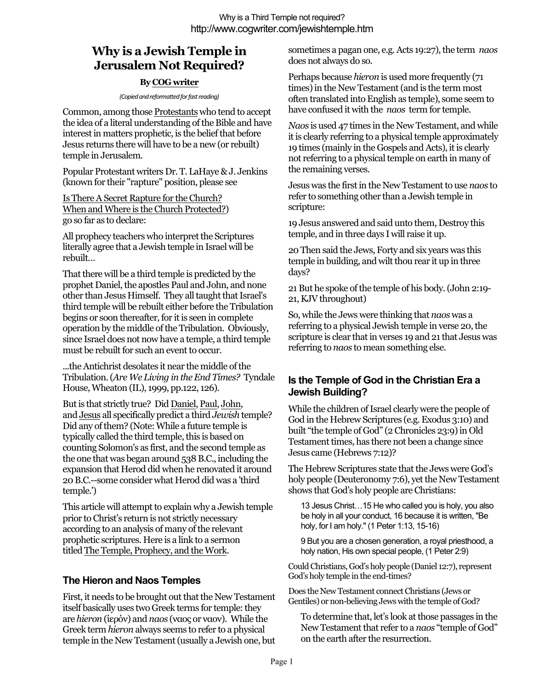# **Why is a Jewish Temple in Jerusalem Not Required?**

### **By COG writer**

#### *(Copied and reformatted for fast reading)*

Common, among those Protestants who tend to accept the idea of a literal understanding of the Bible and have interest in matters prophetic, is the belief that before Jesus returns there will have to be a new (or rebuilt) temple in Jerusalem.

Popular Protestant writers Dr. T. LaHaye & J. Jenkins (known for their "rapture" position, please see

Is There A Secret Rapture for the Church? When and Where is the Church Protected?) go so far as to declare:

All prophecy teachers who interpret the Scriptures literally agree that a Jewish temple in Israel will be rebuilt…

That there will be a third temple is predicted by the prophet Daniel, the apostles Paul and John, and none other than Jesus Himself. They all taught that Israel's third temple will be rebuilt either before the Tribulation begins or soon thereafter, for it is seen in complete operation by the middle of the Tribulation. Obviously, since Israel does not now have a temple, a third temple must be rebuilt for such an event to occur.

...the Antichrist desolates it near the middle of the Tribulation. (*Are We Living in the End Times?* Tyndale House, Wheaton (IL), 1999, pp.122, 126).

But is that strictly true? Did Daniel, Paul, John, and Jesus all specifically predict a third *Jewish* temple? Did any of them? (Note: While a future temple is typically called the third temple, this is based on counting Solomon's as first, and the second temple as the one that was began around 538 B.C., including the expansion that Herod did when he renovated it around 20 B.C.--some consider what Herod did was a 'third temple.')

This article will attempt to explain why a Jewish temple prior to Christ's return is not strictly necessary according to an analysis of many of the relevant prophetic scriptures. Here is a link to a sermon titled The Temple, Prophecy, and the Work.

## **The Hieron and Naos Temples**

First, it needs to be brought out that the New Testament itself basically uses two Greek terms for temple: they are *hieron* (ίερόν) and *naos* (ναος or ναον). While the Greek term *hieron* always seems to refer to a physical temple in the New Testament (usually a Jewish one, but sometimes a pagan one, e.g. Acts 19:27), the term *naos* does not always do so.

Perhaps because *hieron* is used more frequently (71 times) in the New Testament (and is the term most often translated into English as temple), some seem to have confused it with the *naos* term for temple.

*Naos* is used 47 times in the New Testament, and while it is clearly referring to a physical temple approximately 19 times (mainly in the Gospels and Acts), it is clearly not referring to a physical temple on earth in many of the remaining verses.

Jesus was the first in the New Testament to use *naos* to refer to something other than a Jewish temple in scripture:

19 Jesus answered and said unto them, Destroy this temple, and in three days I will raise it up.

20 Then said the Jews, Forty and six years was this temple in building, and wilt thou rear it up in three days?

21 But he spoke of the temple of his body. (John 2:19- 21, KJV throughout)

So, while the Jews were thinking that *naos* was a referring to a physical Jewish temple in verse 20, the scripture is clear that in verses 19 and 21 that Jesus was referring to *naos* to mean something else.

## **Is the Temple of God in the Christian Era a Jewish Building?**

While the children of Israel clearly were the people of God in the Hebrew Scriptures (e.g. Exodus 3:10) and built "the temple of God" (2 Chronicles 23:9) in Old Testament times, has there not been a change since Jesus came (Hebrews 7:12)?

The Hebrew Scriptures state that the Jews were God's holy people (Deuteronomy 7:6), yet the New Testament shows that God's holy people are Christians:

13 Jesus Christ…15 He who called you is holy, you also be holy in all your conduct, 16 because it is written, "Be holy, for I am holy." (1 Peter 1:13, 15-16)

9 But you are a chosen generation, a royal priesthood, a holy nation, His own special people, (1 Peter 2:9)

Could Christians, God's holy people (Daniel 12:7), represent God's holy temple in the end-times?

Does the New Testament connect Christians (Jews or Gentiles) or non-believing Jews with the temple of God?

To determine that, let's look at those passages in the New Testament that refer to a *naos* "temple of God" on the earth after the resurrection.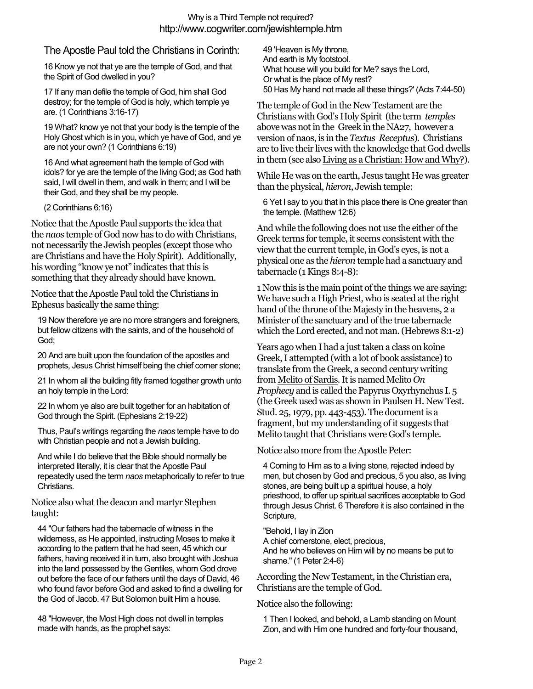### The Apostle Paul told the Christians in Corinth:

16 Know ye not that ye are the temple of God, and that the Spirit of God dwelled in you?

17 If any man defile the temple of God, him shall God destroy; for the temple of God is holy, which temple ye are. (1 Corinthians 3:16-17)

19 What? know ye not that your body is the temple of the Holy Ghost which is in you, which ye have of God, and ye are not your own? (1 Corinthians 6:19)

16 And what agreement hath the temple of God with idols? for ye are the temple of the living God; as God hath said, I will dwell in them, and walk in them; and I will be their God, and they shall be my people.

(2 Corinthians 6:16)

Notice that the Apostle Paul supports the idea that the *naos* temple of God now has to do with Christians, not necessarily the Jewish peoples (except those who are Christians and have the Holy Spirit). Additionally, his wording "know ye not" indicates that this is something that they already should have known.

Notice that the Apostle Paul told the Christians in Ephesus basically the same thing:

19 Now therefore ye are no more strangers and foreigners, but fellow citizens with the saints, and of the household of God;

20 And are built upon the foundation of the apostles and prophets, Jesus Christ himself being the chief corner stone;

21 In whom all the building fitly framed together growth unto an holy temple in the Lord:

22 In whom ye also are built together for an habitation of God through the Spirit. (Ephesians 2:19-22)

Thus, Paul's writings regarding the *naos* temple have to do with Christian people and not a Jewish building.

And while I do believe that the Bible should normally be interpreted literally, it is clear that the Apostle Paul repeatedly used the term *naos* metaphorically to refer to true Christians.

#### Notice also what the deacon and martyr Stephen taught:

44 "Our fathers had the tabernacle of witness in the wilderness, as He appointed, instructing Moses to make it according to the pattern that he had seen, 45 which our fathers, having received it in turn, also brought with Joshua into the land possessed by the Gentiles, whom God drove out before the face of our fathers until the days of David, 46 who found favor before God and asked to find a dwelling for the God of Jacob. 47 But Solomon built Him a house.

48 "However, the Most High does not dwell in temples made with hands, as the prophet says:

49 'Heaven is My throne, And earth is My footstool. What house will you build for Me? says the Lord, Or what is the place of My rest? 50 Has My hand not made all these things?' (Acts 7:44-50)

The temple of God in the New Testament are the Christians with God's Holy Spirit (the term *temples* above was not in the Greek in the NA27, however a version of naos, is in the *Textus Receptus*). Christians are to live their lives with the knowledge that God dwells in them (see also Living as a Christian: How and Why?).

While He was on the earth, Jesus taught He was greater than the physical, *hieron*, Jewish temple:

6 Yet I say to you that in this place there is One greater than the temple. (Matthew 12:6)

And while the following does not use the either of the Greek terms for temple, it seems consistent with the view that the current temple, in God's eyes, is not a physical one as the *hieron* temple had a sanctuary and tabernacle (1 Kings 8:4-8):

1 Now this is the main point of the things we are saying: We have such a High Priest, who is seated at the right hand of the throne of the Majesty in the heavens, 2 a Minister of the sanctuary and of the true tabernacle which the Lord erected, and not man. (Hebrews 8:1-2)

Years ago when I had a just taken a class on koine Greek, I attempted (with a lot of book assistance) to translate from the Greek, a second century writing from Melito of Sardis. It is named Melito *On Prophecy* and is called the Papyrus Oxyrhynchus I. 5 (the Greek used was as shown in Paulsen H. New Test. Stud. 25, 1979, pp. 443-453). The document is a fragment, but my understanding of it suggests that Melito taught that Christians were God's temple.

Notice also more from the Apostle Peter:

4 Coming to Him as to a living stone, rejected indeed by men, but chosen by God and precious, 5 you also, as living stones, are being built up a spiritual house, a holy priesthood, to offer up spiritual sacrifices acceptable to God through Jesus Christ. 6 Therefore it is also contained in the Scripture,

"Behold, I lay in Zion

A chief cornerstone, elect, precious, And he who believes on Him will by no means be put to shame." (1 Peter 2:4-6)

According the New Testament, in the Christian era, Christians are the temple of God.

Notice also the following:

1 Then I looked, and behold, a Lamb standing on Mount Zion, and with Him one hundred and forty-four thousand,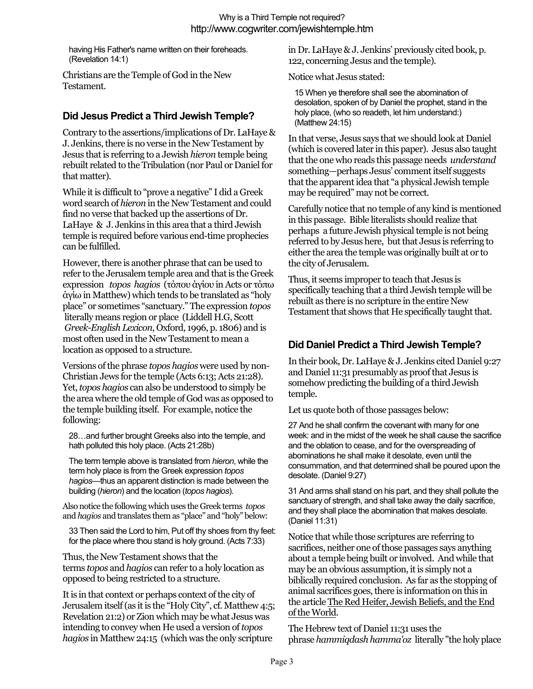having His Father's name written on their foreheads. (Revelation 14:1)

Christians are the Temple of God in the New Testament.

### **Did Jesus Predict a Third Jewish Temple?**

Contrary to the assertions/implications of Dr. LaHaye & J. Jenkins, there is no verse in the New Testament by Jesus that is referring to a Jewish *hieron* temple being rebuilt related to the Tribulation (nor Paul or Daniel for that matter).

While it is difficult to "prove a negative" I did a Greek word search of *hieron* in the New Testament and could find no verse that backed up the assertions of Dr. LaHaye & J. Jenkins in this area that a third Jewish temple is required before various end-time prophecies can be fulfilled.

However, there is another phrase that can be used to refer to the Jerusalem temple area and that is the Greek expression *topos hagios* (τόπου άγίου in Acts or τόπω άγίω in Matthew) which tends to be translated as "holy place" or sometimes "sanctuary." The expression *topos* literally means region or place (Liddell H.G, Scott *Greek-English Lexicon*, Oxford, 1996, p. 1806) and is most often used in the New Testament to mean a location as opposed to a structure.

Versions of the phrase *topos hagios* were used by non-Christian Jews for the temple (Acts 6:13; Acts 21:28). Yet,*topos hagios* can also be understood to simply be the area where the old temple of God was as opposed to the temple building itself. For example, notice the following:

28…and further brought Greeks also into the temple, and hath polluted this holy place. (Acts 21:28b)

The term temple above is translated from *hieron*, while the term holy place is from the Greek expression *topos hagios*—thus an apparent distinction is made between the building (*hieron*) and the location (*topos hagios*).

Also notice the following which uses the Greek terms *topos* and *hagios* and translates them as "place" and "holy" below:

33 Then said the Lord to him, Put off thy shoes from thy feet: for the place where thou stand is holy ground. (Acts 7:33)

Thus, the New Testament shows that the terms *topos* and *hagios* can refer to a holy location as opposed to being restricted to a structure.

It is in that context or perhaps context of the city of Jerusalem itself (as it is the "Holy City", cf. Matthew 4:5; Revelation 21:2) or Zion which may be what Jesus was intending to convey when He used a version of*topos hagios* in Matthew 24:15 (which was the only scripture

in Dr. LaHaye & J. Jenkins' previously cited book, p. 122, concerning Jesus and the temple).

Notice what Jesus stated:

15 When ye therefore shall see the abomination of desolation, spoken of by Daniel the prophet, stand in the holy place, (who so readeth, let him understand:) (Matthew 24:15)

In that verse, Jesus says that we should look at Daniel (which is covered later in this paper). Jesus also taught that the one who reads this passage needs *understand* something—perhaps Jesus' comment itself suggests that the apparent idea that "a physical Jewish temple may be required" may not be correct.

Carefully notice that no temple of any kind is mentioned in this passage. Bible literalists should realize that perhaps a future Jewish physical temple is not being referred to by Jesus here, but that Jesus is referring to either the area the temple was originally built at or to the city of Jerusalem.

Thus, it seems improper to teach that Jesus is specifically teaching that a third Jewish temple will be rebuilt as there is no scripture in the entire New Testament that shows that He specifically taught that.

## **Did Daniel Predict a Third Jewish Temple?**

In their book, Dr. LaHaye & J. Jenkins cited Daniel 9:27 and Daniel 11:31 presumably as proof that Jesus is somehow predicting the building of a third Jewish temple.

Let us quote both of those passages below:

27 And he shall confirm the covenant with many for one week: and in the midst of the week he shall cause the sacrifice and the oblation to cease, and for the overspreading of abominations he shall make it desolate, even until the consummation, and that determined shall be poured upon the desolate. (Daniel 9:27)

31 And arms shall stand on his part, and they shall pollute the sanctuary of strength, and shall take away the daily sacrifice, and they shall place the abomination that makes desolate. (Daniel 11:31)

Notice that while those scriptures are referring to sacrifices, neither one of those passages says anything about a temple being built or involved. And while that may be an obvious assumption, it is simply not a biblically required conclusion. As far as the stopping of animal sacrifices goes, there is information on this in the article The Red Heifer, Jewish Beliefs, and the End of the World.

The Hebrew text of Daniel 11:31 uses the phrase *hammiqdash hamma'oz* literally "the holy place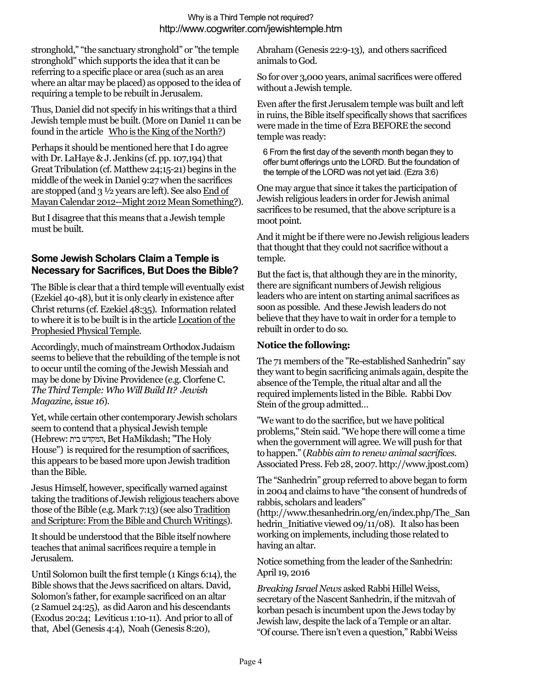stronghold," "the sanctuary stronghold" or "the temple stronghold" which supports the idea that it can be referring to a specific place or area (such as an area where an altar may be placed) as opposed to the idea of requiring a temple to be rebuilt in Jerusalem.

Thus, Daniel did not specify in his writings that a third Jewish temple must be built. (More on Daniel 11 can be found in the article Who is the King of the North?)

Perhaps it should be mentioned here that I do agree with Dr. LaHaye & J. Jenkins (cf. pp. 107,194) that Great Tribulation (cf. Matthew 24;15-21) begins in the middle of the week in Daniel 9:27 when the sacrifices are stopped (and 3 ½ years are left). See also End of Mayan Calendar 2012--Might 2012 Mean Something?).

But I disagree that this means that a Jewish temple must be built.

## **Some Jewish Scholars Claim a Temple is Necessary for Sacrifices, But Does the Bible?**

The Bible is clear that a third temple will eventually exist (Ezekiel 40-48), but it is only clearly in existence after Christ returns (cf.Ezekiel 48:35). Information related to where it is to be built is in the article Location of the Prophesied Physical Temple.

Accordingly, much of mainstream Orthodox Judaism seems to believe that the rebuilding of the temple is not to occur until the coming of the Jewish Messiah and may be done by Divine Providence (e.g. Clorfene C. *The Third Temple: Who Will Build It? Jewish Magazine, issue 16*).

Yet, while certain other contemporary Jewish scholars seem to contend that a physical Jewish temple (Hebrew: בית המקדש, Bet HaMikdash; "The Holy House") is required for the resumption of sacrifices, this appears to be based more upon Jewish tradition than the Bible.

Jesus Himself, however, specifically warned against taking the traditions of Jewish religious teachers above those of the Bible (e.g. Mark 7:13) (see also Tradition and Scripture: From the Bible and Church Writings).

It should be understood that the Bible itself nowhere teaches that animal sacrifices require a temple in Jerusalem.

Until Solomon built the first temple (1 Kings 6:14), the Bible shows that the Jews sacrificed on altars. David, Solomon's father, for example sacrificed on an altar (2 Samuel 24:25), as did Aaron and his descendants (Exodus 20:24; Leviticus 1:10-11). And prior to all of that, Abel (Genesis 4:4), Noah (Genesis 8:20),

Abraham (Genesis 22:9-13), and others sacrificed animals to God.

So for over 3,000 years, animal sacrifices were offered without a Jewish temple.

Even after the first Jerusalem temple was built and left in ruins, the Bible itself specifically shows that sacrifices were made in the time of Ezra BEFORE the second temple was ready:

6 From the first day of the seventh month began they to offer burnt offerings unto the LORD. But the foundation of the temple of the LORD was not yet laid. (Ezra 3:6)

One may argue that since it takes the participation of Jewish religious leaders in order for Jewish animal sacrifices to be resumed, that the above scripture is a moot point.

And it might be if there were no Jewish religious leaders that thought that they could not sacrifice without a temple.

But the fact is, that although they are in the minority, there are significant numbers of Jewish religious leaders who are intent on starting animal sacrifices as soon as possible. And these Jewish leaders do not believe that they have to wait in order for a temple to rebuilt in order to do so.

### **Notice the following:**

The 71 members of the "Re-established Sanhedrin" say they want to begin sacrificing animals again, despite the absence of the Temple, the ritual altar and all the required implements listed in the Bible. Rabbi Dov Stein of the group admitted…

"We want to do the sacrifice, but we have political problems," Stein said. "We hope there will come a time when the government will agree. We will push for that to happen." (*Rabbis aim to renew animal sacrifices*. Associated Press. Feb 28, 2007. http://www.jpost.com)

The "Sanhedrin" group referred to above began to form in 2004 and claims to have "the consent of hundreds of rabbis, scholars and leaders"

(http://www.thesanhedrin.org/en/index.php/The\_San hedrin Initiative viewed 09/11/08). It also has been working on implements, including those related to having an altar.

Notice something from the leader of the Sanhedrin: April 19, 2016

*Breaking Israel News* asked Rabbi Hillel Weiss, secretary of the Nascent Sanhedrin, if the mitzvah of korban pesach is incumbent upon the Jews today by Jewish law, despite the lack of a Temple or an altar. "Of course. There isn't even a question," Rabbi Weiss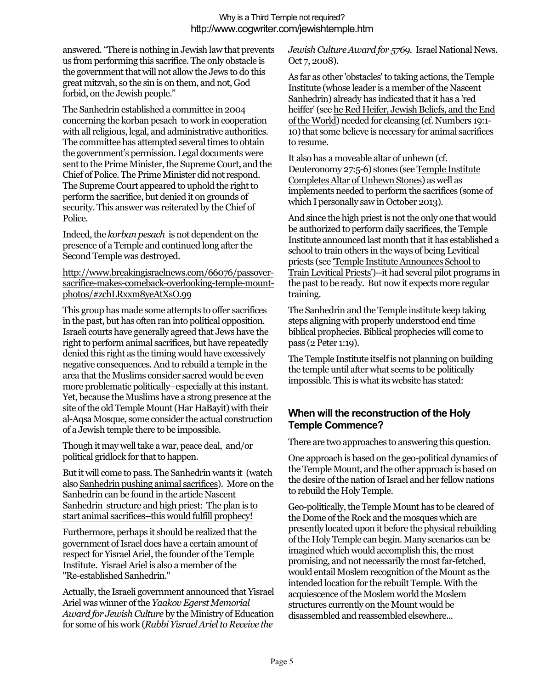answered. "There is nothing in Jewish law that prevents us from performing this sacrifice. The only obstacle is the government that will not allow the Jews to do this great mitzvah, so the sin is on them, and not, God forbid, on the Jewish people."

The Sanhedrin established a committee in 2004 concerning the korban pesach to work in cooperation with all religious, legal, and administrative authorities. The committee has attempted several times to obtain the government's permission. Legal documents were sent to the Prime Minister, the Supreme Court, and the Chief of Police. The Prime Minister did not respond. The Supreme Court appeared to uphold the right to perform the sacrifice, but denied it on grounds of security. This answer was reiterated by the Chief of Police.

Indeed, the *korban pesach* is not dependent on the presence of a Temple and continued long after the Second Temple was destroyed.

http://www.breakingisraelnews.com/66076/passoversacrifice-makes-comeback-overlooking-temple-mountphotos/#zchLRxxm8yeAtXsO.99

This group has made some attempts to offer sacrifices in the past, but has often ran into political opposition. Israeli courts have generally agreed that Jews have the right to perform animal sacrifices, but have repeatedly denied this right as the timing would have excessively negative consequences. And to rebuild a temple in the area that the Muslims consider sacred would be even more problematic politically–especially at this instant. Yet, because the Muslims have a strong presence at the site of the old Temple Mount (Har HaBayit) with their al-Aqsa Mosque, some consider the actual construction of a Jewish temple there to be impossible.

Though it may well take a war, peace deal, and/or political gridlock for that to happen.

But it will come to pass. The Sanhedrin wants it (watch also Sanhedrin pushing animal sacrifices). More on the Sanhedrin can be found in the article Nascent Sanhedrin structure and high priest: The plan is to start animal sacrifices–this would fulfill prophecy!

Furthermore, perhaps it should be realized that the government of Israel does have a certain amount of respect for Yisrael Ariel, the founder of the Temple Institute. Yisrael Ariel is also a member of the "Re-established Sanhedrin."

Actually, the Israeli government announced that Yisrael Ariel was winner of the *Yaakov Egerst Memorial Award for Jewish Culture* by the Ministry of Education for some of his work (*Rabbi Yisrael Ariel to Receive the* 

*Jewish Culture Award for 5769*. Israel National News. Oct 7, 2008).

As far as other 'obstacles' to taking actions, the Temple Institute (whose leader is a member of the Nascent Sanhedrin) already has indicated that it has a 'red heiffer' (see he Red Heifer, Jewish Beliefs, and the End of the World) needed for cleansing (cf. Numbers 19:1- 10) that some believe is necessary for animal sacrifices to resume.

It also has a moveable altar of unhewn (cf. Deuteronomy 27:5-6) stones (see Temple Institute Completes Altar of Unhewn Stones) as well as implements needed to perform the sacrifices (some of which I personally saw in October 2013).

And since the high priest is not the only one that would be authorized to perform daily sacrifices, the Temple Institute announced last month that it has established a school to train others in the ways of being Levitical priests (see 'Temple Institute Announces School to Train Levitical Priests')--it had several pilot programs in the past to be ready. But now it expects more regular training.

The Sanhedrin and the Temple institute keep taking steps aligning with properly understood end time biblical prophecies. Biblical prophecies will come to pass (2 Peter 1:19).

The Temple Institute itself is not planning on building the temple until after what seems to be politically impossible. This is what its website has stated:

### **When will the reconstruction of the Holy Temple Commence?**

There are two approaches to answering this question.

One approach is based on the geo-political dynamics of the Temple Mount, and the other approach is based on the desire of the nation of Israel and her fellow nations to rebuild the Holy Temple.

Geo-politically, the Temple Mount has to be cleared of the Dome of the Rock and the mosques which are presently located upon it before the physical rebuilding of the Holy Temple can begin. Many scenarios can be imagined which would accomplish this, the most promising, and not necessarily the most far-fetched, would entail Moslem recognition of the Mount as the intended location for the rebuilt Temple. With the acquiescence of the Moslem world the Moslem structures currently on the Mount would be disassembled and reassembled elsewhere...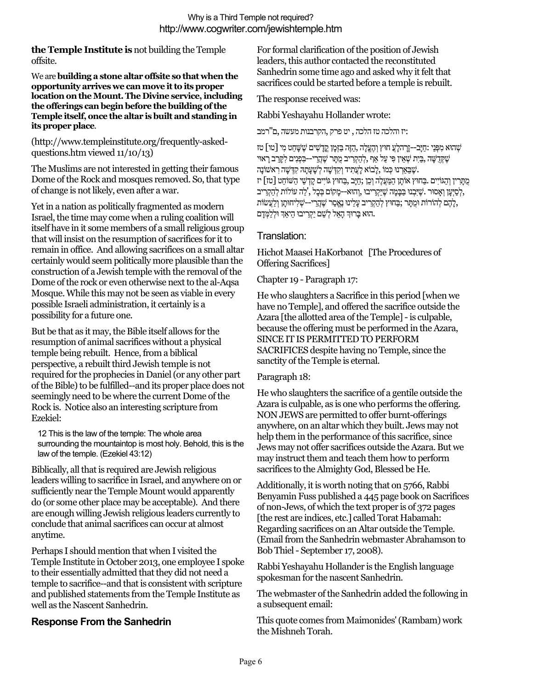**the Temple Institute is** not building the Temple offsite.

We are**building a stone altar offsite so that when the opportunity arrives we can move it to its proper location on the Mount. The Divine service, including the offerings can begin before the building of the Temple itself, once the altar is built and standing in its proper place**.

### (http://www.templeinstitute.org/frequently-askedquestions.htm viewed 11/10/13)

The Muslims are not interested in getting their famous Dome of the Rock and mosques removed. So, that type of change is not likely, even after a war.

Yet in a nation as politically fragmented as modern Israel, the time may come when a ruling coalition will itself have in it some members of a small religious group that will insist on the resumption of sacrifices for it to remain in office. And allowing sacrifices on a small altar certainly would seem politically more plausible than the construction of a Jewish temple with the removal of the Dome of the rock or even otherwise next to the al-Aqsa Mosque. While this may not be seen as viable in every possible Israeli administration, it certainly is a possibility for a future one.

But be that as it may, the Bible itself allows for the resumption of animal sacrifices without a physical temple being rebuilt. Hence, from a biblical perspective, a rebuilt third Jewish temple is not required for the prophecies in Daniel (or any other part of the Bible) to be fulfilled--and its proper place does not seemingly need to be where the current Dome of the Rock is. Notice also an interesting scripture from Ezekiel:

12 This is the law of the temple: The whole area surrounding the mountaintop is most holy. Behold, this is the law of the temple. (Ezekiel 43:12)

Biblically, all that is required are Jewish religious leaders willing to sacrifice in Israel, and anywhere on or sufficiently near the Temple Mount would apparently do (or some other place may be acceptable). And there are enough willing Jewish religious leaders currently to conclude that animal sacrifices can occur at almost anytime.

Perhaps I should mention that when I visited the Temple Institute in October 2013, one employee I spoke to their essentially admitted that they did not need a temple to sacrifice--and that is consistent with scripture and published statements from the Temple Institute as well as the Nascent Sanhedrin.

## **Response From the Sanhedrin**

For formal clarification of the position of Jewish leaders, this author contacted the reconstituted Sanhedrin some time ago and asked why it felt that sacrifices could be started before a temple is rebuilt.

The response received was:

Rabbi Yeshayahu Hollander wrote:

:יז והלכה טז הלכה , יט פרק ,הקרבנות מעשה ,ם"רמב

שְׁהוּא מִפְּנֵי :חַיָּב--דָרָהלְעֲ חוּץ וְהֶעֱלָה ,הַזֶּה בַּזְמָן קֳדָשִׁים שֶׁשָּׁחַט מִי [טו] טז שֶׁקְּדֶשֶׁה ,בַּיָת שְׁאֵין פִּי עַל אַף ,לְהַקְרִיב מֻתָּר שֶׁהֲרֵי--בִּפְנִים לְקַרֵב רָאוּי  $\ddot{\psi}$ .שֶׁבֵּאַרְנוּ כְּמוֹ ,לָבוֹא לַעֲתִיד וְקִדְּשָׁה לְשַׁעֲתָהּ קִדְּשָׁה רָאשׁוֹנַה מֻתָּרִ ין וְהַגּוֹיִים .בַּחוּץ אוֹתָן הַמַּעֲלֶה וְכֵן ;חַיָּב ,בַּחוּץ גּוֹיִים קָדְ שֵׁי הַשּׁוֹחֵט [טז]יז לְסַיְּעָן וְאָסוּר .שֵׁיִּבְנוּ בַּבָּמָה שֵׁיַּקְרִיבוּ ,וְהוּא--מָקוֹם בִּכָל ,'לַה עוֹלוֹת לְהַקְרִיב ,לָהֶם לְהוֹרוֹת וּמֻתָּר ;בַּחוּץ לְהַקְרִיב עָלֵינוּ נֵאֱסַר שֵׁהֲרֵי--שָׁלִיחוּתָן וְלַעֲשׂוֹת .הוּא בַּרוּךְ הָאֵל לְשֵׁם יַקְרִיבוּ הֵיאַךְ וּלְלַמְּדָם.

### Translation:

Hichot Maasei HaKorbanot [The Procedures of Offering Sacrifices]

Chapter 19 - Paragraph 17:

He who slaughters a Sacrifice in this period [when we have no Temple], and offered the sacrifice outside the Azara [the allotted area of the Temple] - is culpable, because the offering must be performed in the Azara, SINCE IT IS PERMITTED TO PERFORM SACRIFICES despite having no Temple, since the sanctity of the Temple is eternal.

### Paragraph 18:

He who slaughters the sacrifice of a gentile outside the Azara is culpable, as is one who performs the offering. NON JEWS are permitted to offer burnt-offerings anywhere, on an altar which they built. Jews may not help them in the performance of this sacrifice, since Jews may not offer sacrifices outside the Azara. But we may instruct them and teach them how to perform sacrifices to the Almighty God, Blessed be He.

Additionally, it is worth noting that on 5766, Rabbi Benyamin Fuss published a 445 page book on Sacrifices of non-Jews, of which the text proper is of 372 pages [the rest are indices, etc.] called Torat Habamah: Regarding sacrifices on an Altar outside the Temple. (Email from the Sanhedrin webmaster Abrahamson to Bob Thiel- September 17, 2008).

Rabbi Yeshayahu Hollander is the English language spokesman for the nascent Sanhedrin.

The webmaster of the Sanhedrin added the following in a subsequent email:

This quote comes from Maimonides' (Rambam) work the Mishneh Torah.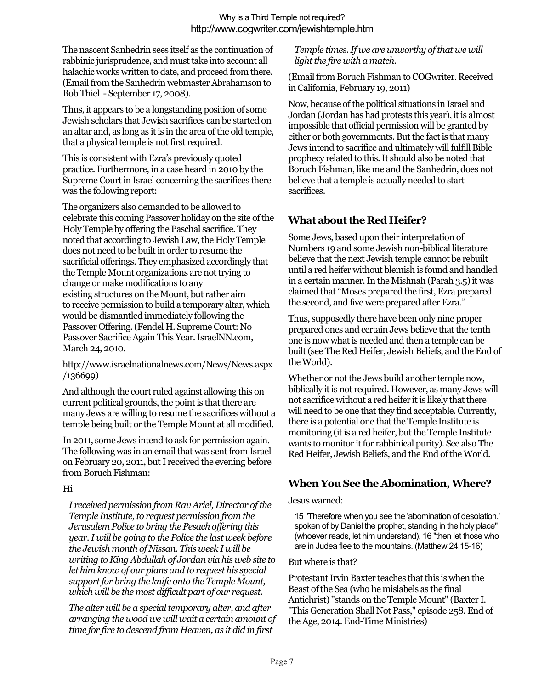The nascent Sanhedrin sees itself as the continuation of rabbinic jurisprudence, and must take into account all halachic works written to date, and proceed from there. (Email from the Sanhedrin webmaster Abrahamson to Bob Thiel - September 17, 2008).

Thus, it appears to be a longstanding position of some Jewish scholars that Jewish sacrifices can be started on an altar and, as long as it is in the area of the old temple, that a physical temple is not first required.

This is consistent with Ezra's previously quoted practice. Furthermore, in a case heard in 2010 by the Supreme Court in Israel concerning the sacrifices there was the following report:

The organizers also demanded to be allowed to celebrate this coming Passover holiday on the site of the Holy Temple by offering the Paschal sacrifice. They noted that according to Jewish Law, the Holy Temple does not need to be built in order to resume the sacrificial offerings. They emphasized accordingly that the Temple Mount organizations are not trying to change or make modifications to any existing structures on the Mount, but rather aim to receive permission to build a temporary altar, which would be dismantled immediately following the Passover Offering. (Fendel H. Supreme Court: No Passover Sacrifice Again This Year. IsraelNN.com, March 24, 2010.

http://www.israelnationalnews.com/News/News.aspx /136699)

And although the court ruled against allowing this on current political grounds, the point is that there are many Jews are willing to resume the sacrifices without a temple being built or the Temple Mount at all modified.

In 2011, some Jews intend to ask for permission again. The following was in an email that was sent from Israel on February 20, 2011, but I received the evening before from Boruch Fishman:

### Hi

*I received permission from Rav Ariel, Director of the Temple Institute, to request permission from the Jerusalem Police to bring the Pesach offering this year. I will be going to the Police the last week before the Jewish month of Nissan. This week I will be writing to King Abdullah of Jordan via his web site to let him know of our plans and to request his special support for bring the knife onto the Temple Mount, which will be the most difficult part of our request.*

*The alter will be a special temporary alter, and after arranging the wood we will wait a certain amount of time for fire to descend from Heaven, as it did in first* 

#### *Temple times. If we are unworthy of that we will light the fire with a match.*

(Email from Boruch Fishman to COGwriter. Received in California, February 19, 2011)

Now, because of the political situations in Israel and Jordan (Jordan has had protests this year), it is almost impossible that official permission will be granted by either or both governments. But the fact is that many Jews intend to sacrifice and ultimately will fulfill Bible prophecy related to this. It should also be noted that Boruch Fishman, like me and the Sanhedrin, does not believe that a temple is actually needed to start sacrifices.

## **What about the Red Heifer?**

Some Jews, based upon their interpretation of Numbers 19 and some Jewish non-biblical literature believe that the next Jewish temple cannot be rebuilt until a red heifer without blemish is found and handled in a certain manner. In the Mishnah (Parah 3.5) it was claimed that "Moses prepared the first, Ezra prepared the second, and five were prepared after Ezra."

Thus, supposedly there have been only nine proper prepared ones and certain Jews believe that the tenth one is now what is needed and then a temple can be built (see The Red Heifer, Jewish Beliefs, and the End of the World).

Whether or not the Jews build another temple now, biblically it is not required. However, as many Jews will not sacrifice without a red heifer it is likely that there will need to be one that they find acceptable. Currently, there is a potential one that the Temple Institute is monitoring (it is a red heifer, but the Temple Institute wants to monitor it for rabbinical purity). See also The Red Heifer, Jewish Beliefs, and the End of the World.

# **When You See the Abomination, Where?**

### Jesus warned:

15 "Therefore when you see the 'abomination of desolation,' spoken of by Daniel the prophet, standing in the holy place" (whoever reads, let him understand), 16 "then let those who are in Judea flee to the mountains. (Matthew 24:15-16)

### But where is that?

Protestant Irvin Baxter teaches that this is when the Beast of the Sea (who he mislabels as the final Antichrist) "stands on the Temple Mount" (Baxter I. "This Generation Shall Not Pass," episode 258. End of the Age, 2014. End-Time Ministries)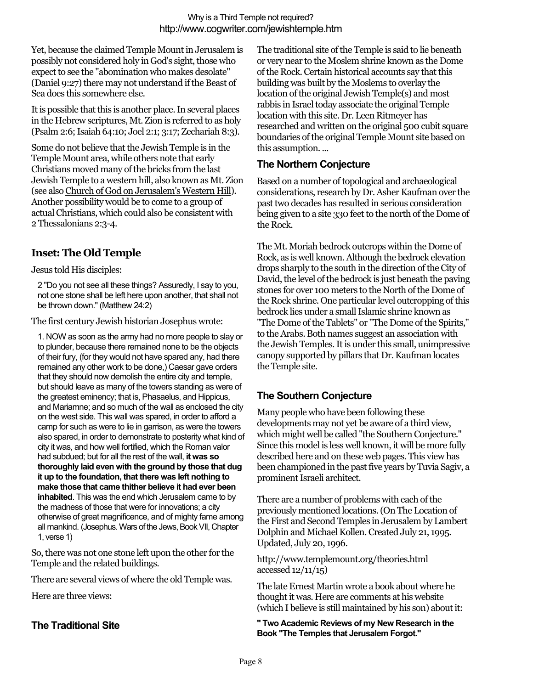Yet, because the claimed Temple Mount in Jerusalem is possibly not considered holy in God's sight, those who expect to see the "abomination who makes desolate" (Daniel 9:27) there may not understand if the Beast of Sea does this somewhere else.

It is possible that this is another place. In several places in the Hebrew scriptures, Mt. Zion is referred to as holy (Psalm 2:6; Isaiah 64:10; Joel 2:1; 3:17; Zechariah 8:3).

Some do not believe that the Jewish Temple is in the Temple Mount area, while others note that early Christians moved many of the bricks from the last Jewish Temple to a western hill, also known as Mt. Zion (see also Church of God on Jerusalem's Western Hill). Another possibility would be to come to a group of actual Christians, which could also be consistent with 2 Thessalonians 2:3-4.

# **Inset: The Old Temple**

Jesus told His disciples:

2 "Do you not see all these things? Assuredly, I say to you, not one stone shall be left here upon another, that shall not be thrown down." (Matthew 24:2)

The first century Jewish historian Josephus wrote:

1. NOW as soon as the army had no more people to slay or to plunder, because there remained none to be the objects of their fury, (for they would not have spared any, had there remained any other work to be done,) Caesar gave orders that they should now demolish the entire city and temple, but should leave as many of the towers standing as were of the greatest eminency; that is, Phasaelus, and Hippicus, and Mariamne; and so much of the wall as enclosed the city on the west side. This wall was spared, in order to afford a camp for such as were to lie in garrison, as were the towers also spared, in order to demonstrate to posterity what kind of city it was, and how well fortified, which the Roman valor had subdued; but for all the rest of the wall, **it was so thoroughly laid even with the ground by those that dug it up to the foundation, that there was left nothing to make those that came thither believe it had ever been inhabited**. This was the end which Jerusalem came to by the madness of those that were for innovations; a city otherwise of great magnificence, and of mighty fame among all mankind. (Josephus. Wars of the Jews, Book VII, Chapter 1, verse 1)

So, there was not one stone left upon the other for the Temple and the related buildings.

There are several views of where the old Temple was.

Here are three views:

## **The Traditional Site**

The traditional site of the Temple is said to lie beneath or very near to the Moslem shrine known as the Dome of the Rock. Certain historical accounts say that this building was built by the Moslems to overlay the location of the original Jewish Temple(s) and most rabbis in Israel today associate the original Temple location with this site. Dr. Leen Ritmeyer has researched and written on the original 500 cubit square boundaries of the original Temple Mount site based on this assumption. ...

### **The Northern Conjecture**

Based on a number of topological and archaeological considerations, research by Dr. Asher Kaufman over the past two decades has resulted in serious consideration being given to a site 330 feet to the north of the Dome of the Rock.

The Mt. Moriah bedrock outcrops within the Dome of Rock, as is well known. Although the bedrock elevation drops sharply to the south in the direction of the City of David, the level of the bedrock is just beneath the paving stones for over 100 meters to the North of the Dome of the Rock shrine. One particular level outcropping of this bedrock lies under a small Islamic shrine known as "The Dome of the Tablets" or "The Dome of the Spirits," to the Arabs. Both names suggest an association with the Jewish Temples. It is under this small, unimpressive canopy supported by pillars that Dr. Kaufman locates the Temple site.

## **The Southern Conjecture**

Many people who have been following these developments may not yet be aware of a third view, which might well be called "the Southern Conjecture." Since this model is less well known, it will be more fully described here and on these web pages. This view has been championed in the past five years by Tuvia Sagiv, a prominent Israeli architect.

There are a number of problems with each of the previously mentioned locations. (On The Location of the First and Second Temples in Jerusalem by Lambert Dolphin and Michael Kollen. Created July 21, 1995. Updated, July 20, 1996.

http://www.templemount.org/theories.html accessed 12/11/15)

The late Ernest Martin wrote a book about where he thought it was. Here are comments at his website (which I believe is still maintained by his son) about it:

**" Two Academic Reviews of my New Research in the Book "The Temples that Jerusalem Forgot."**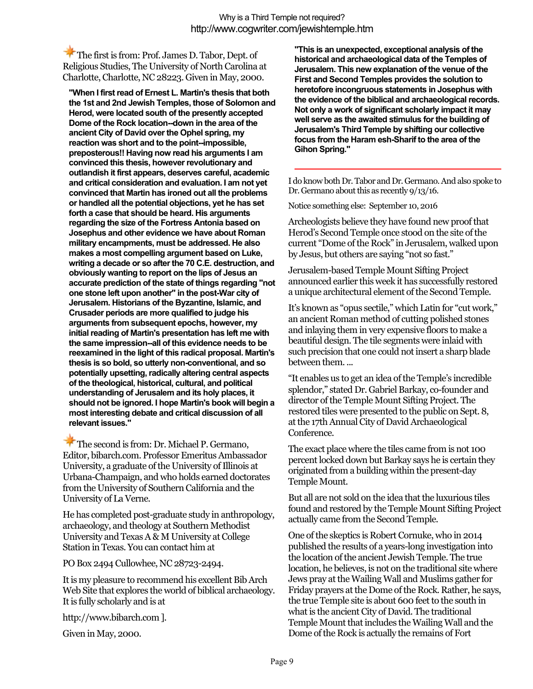The first is from: Prof. James D. Tabor, Dept. of Religious Studies, The University of North Carolina at Charlotte, Charlotte, NC 28223. Given in May, 2000.

**"When I first read of Ernest L. Martin's thesis that both the 1st and 2nd Jewish Temples, those of Solomon and Herod, were located south of the presently accepted Dome of the Rock location--down in the area of the ancient City of David over the Ophel spring, my reaction was short and to the point--impossible, preposterous!! Having now read his arguments I am convinced this thesis, however revolutionary and outlandish it first appears, deserves careful, academic and critical consideration and evaluation. I am not yet convinced that Martin has ironed out all the problems or handled all the potential objections, yet he has set forth a case that should be heard. His arguments regarding the size of the Fortress Antonia based on Josephus and other evidence we have about Roman military encampments, must be addressed. He also makes a most compelling argument based on Luke, writing a decade or so after the 70 C.E. destruction, and obviously wanting to report on the lips of Jesus an accurate prediction of the state of things regarding "not one stone left upon another" in the post-War city of Jerusalem. Historians of the Byzantine, Islamic, and Crusader periods are more qualified to judge his arguments from subsequent epochs, however, my initial reading of Martin's presentation has left me with the same impression--all of this evidence needs to be reexamined in the light of this radical proposal. Martin's thesis is so bold, so utterly non-conventional, and so potentially upsetting, radically altering central aspects of the theological, historical, cultural, and political understanding of Jerusalem and its holy places, it should not be ignored. I hope Martin's book will begin a most interesting debate and critical discussion of all relevant issues."**

The second is from: Dr. Michael P. Germano, Editor, bibarch.com. Professor Emeritus Ambassador University, a graduate of the University of Illinois at Urbana-Champaign, and who holds earned doctorates from the University of Southern California and the University of La Verne.

He has completed post-graduate study in anthropology, archaeology, and theology at Southern Methodist University and Texas A & M University at College Station in Texas. You can contact him at

PO Box 2494 Cullowhee, NC 28723-2494.

It is my pleasure to recommend his excellent BibArch Web Site that explores the world of biblical archaeology. It is fully scholarly and is at

http://www.bibarch.com ].

Given in May, 2000.

**"This is an unexpected, exceptional analysis of the historical and archaeological data of the Temples of Jerusalem. This new explanation of the venue of the First and Second Temples provides the solution to heretofore incongruous statements in Josephus with the evidence of the biblical and archaeological records. Not only a work of significant scholarly impact it may well serve as the awaited stimulus for the building of Jerusalem's Third Temple by shifting our collective focus from the Haram esh-Sharif to the area of the Gihon Spring."**

I do know both Dr. Tabor and Dr. Germano. And also spoke to Dr. Germano about this as recently 9/13/16.

Notice something else: September 10, 2016

Archeologists believe they have found new proof that Herod's Second Temple once stood on the site of the current "Dome of the Rock" in Jerusalem, walked upon by Jesus, but others are saying "not so fast."

Jerusalem-based Temple Mount Sifting Project announced earlier this week it has successfully restored a unique architectural element of the Second Temple.

It's known as "opus sectile," which Latin for "cut work," an ancient Roman method of cutting polished stones and inlaying them in very expensive floors to make a beautiful design. The tile segments were inlaid with such precision that one could not insert a sharp blade between them. ...

"It enables us to get an idea of the Temple's incredible splendor," stated Dr. Gabriel Barkay, co-founder and director of the Temple Mount Sifting Project. The restored tiles were presented to the public on Sept. 8, at the 17th Annual City of David Archaeological Conference.

The exact place where the tiles came from is not 100 percent locked down but Barkay says he is certain they originated from a building within the present-day Temple Mount.

But all are not sold on the idea that the luxurious tiles found and restored by the Temple Mount Sifting Project actually came from the Second Temple.

One of the skeptics is Robert Cornuke, who in 2014 published the results of a years-long investigation into the location of the ancient Jewish Temple. The true location, he believes, is not on the traditional site where Jews pray at the Wailing Wall and Muslims gather for Friday prayers at the Dome of the Rock. Rather, he says, the true Temple site is about 600 feet to the south in what is the ancient City of David. The traditional Temple Mount that includes the Wailing Wall and the Dome of the Rock is actually the remains of Fort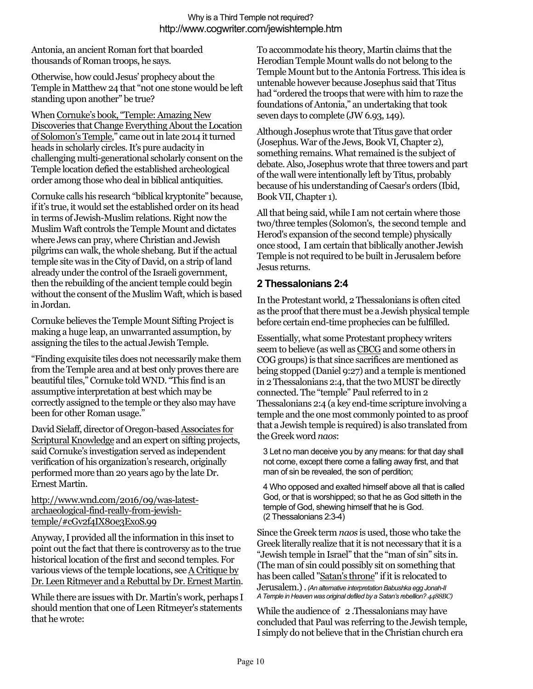Antonia, an ancient Roman fort that boarded thousands of Roman troops, he says.

Otherwise, how could Jesus' prophecy about the Temple in Matthew 24 that "not one stone would be left standing upon another" be true?

When Cornuke's book, "Temple: Amazing New Discoveries that Change Everything About the Location of Solomon's Temple," came out in late 2014 it turned heads in scholarly circles. It's pure audacity in challenging multi-generational scholarly consent on the Temple location defied the established archeological order among those who deal in biblical antiquities.

Cornuke calls his research "biblical kryptonite" because, if it's true, it would set the established order on its head in terms of Jewish-Muslim relations. Right now the Muslim Waft controls the Temple Mount and dictates where Jews can pray, where Christian and Jewish pilgrims can walk, the whole shebang. But if the actual temple site was in the City of David, on a strip of land already under the control of the Israeli government, then the rebuilding of the ancient temple could begin without the consent of the Muslim Waft, which is based in Jordan.

Cornuke believes the Temple Mount Sifting Project is making a huge leap, an unwarranted assumption, by assigning the tiles to the actual Jewish Temple.

"Finding exquisite tiles does not necessarily make them from the Temple area and at best only proves there are beautiful tiles," Cornuke told WND. "This find is an assumptive interpretation at best which may be correctly assigned to the temple or they also may have been for other Roman usage."

David Sielaff, director of Oregon-based Associates for Scriptural Knowledge and an expert on sifting projects, said Cornuke's investigation served as independent verification of his organization's research, originally performed more than 20 years ago by the late Dr. Ernest Martin.

http://www.wnd.com/2016/09/was-latestarchaeological-find-really-from-jewishtemple/#cGv2f4IX80e3ExoS.99

Anyway, I provided all the information in this inset to point out the fact that there is controversy as to the true historical location of the first and second temples. For various views of the temple locations, seeA Critique by Dr. Leen Ritmeyer and a Rebuttal by Dr. Ernest Martin.

While there are issues with Dr. Martin's work, perhaps I should mention that one of Leen Ritmeyer's statements that he wrote:

To accommodate his theory, Martin claims that the Herodian Temple Mount walls do not belong to the Temple Mount but to the Antonia Fortress. This idea is untenable however because Josephus said that Titus had "ordered the troops that were with him to raze the foundations of Antonia," an undertaking that took seven days to complete (JW 6.93, 149).

Although Josephus wrote that Titus gave that order (Josephus. War of the Jews, Book VI, Chapter 2), something remains. What remained is the subject of debate. Also, Josephus wrote that three towers and part of the wall were intentionally left by Titus, probably because of his understanding of Caesar's orders (Ibid, Book VII, Chapter 1).

All that being said, while I am not certain where those two/three temples (Solomon's, the second temple and Herod's expansion of the second temple) physically once stood, I am certain that biblically another Jewish Temple is not required to be built in Jerusalem before Jesus returns.

### **2 Thessalonians 2:4**

In the Protestant world, 2 Thessalonians is often cited as the proof that there must be a Jewish physical temple before certain end-time prophecies can be fulfilled.

Essentially, what some Protestant prophecy writers seem to believe (as well as CBCG and some others in COG groups) is that since sacrifices are mentioned as being stopped (Daniel 9:27) and a temple is mentioned in 2 Thessalonians 2:4, that the two MUST be directly connected. The "temple" Paul referred to in 2 Thessalonians 2:4 (a key end-time scripture involving a temple and the one most commonly pointed to as proof that a Jewish temple is required) is also translated from the Greek word *naos*:

3 Let no man deceive you by any means: for that day shall not come, except there come a falling away first, and that man of sin be revealed, the son of perdition;

4 Who opposed and exalted himself above all that is called God, or that is worshipped; so that he as God sitteth in the temple of God, shewing himself that he is God. (2 Thessalonians 2:3-4)

Since the Greek term *naos* is used, those who take the Greek literally realize that it is not necessary that it is a "Jewish temple in Israel" that the "man of sin" sits in. (The man of sin could possibly sit on something that has been called "Satan's throne" if it is relocated to Jerusalem.).*(An alternative interpretation Babushka egg Jonah-II A Temple in Heaven was original defiled by a Satan's rebellion? 4488BC)*

While the audience of 2. Thessalonians may have concluded that Paul was referring to the Jewish temple, I simply do not believe that in the Christian church era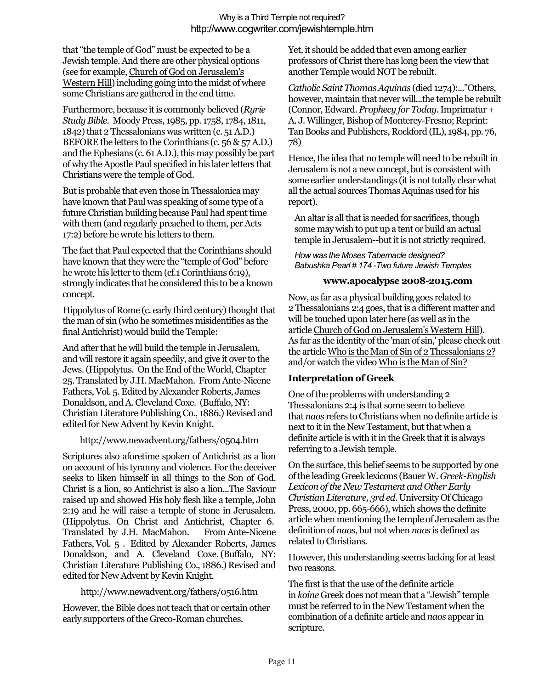that "the temple of God" must be expected to be a Jewish temple.And there are other physical options (see for example,Church of God on Jerusalem's Western Hill) including going into the midst of where some Christians are gathered in the end time.

Furthermore, because it is commonly believed (*Ryrie Study Bible*. Moody Press, 1985, pp. 1758, 1784, 1811, 1842) that 2 Thessalonians was written (c. 51 A.D.) BEFORE the letters to the Corinthians (c. 56 & 57 A.D.) and the Ephesians (c. 61 A.D.), this may possibly be part of why the Apostle Paul specified in his later letters that Christians were the temple of God.

But is probable that even those in Thessalonica may have known that Paul was speaking of some type of a future Christian building because Paul had spent time with them (and regularly preached to them, per Acts 17:2) before he wrote his letters to them.

The fact that Paul expected that the Corinthians should have known that they were the "temple of God" before he wrote his letter to them (cf.1 Corinthians 6:19), strongly indicates that he considered this to be a known concept.

Hippolytus of Rome (c. early third century) thought that the man of sin (who he sometimes misidentifies as the final Antichrist) would build the Temple:

And after that he will build the temple in Jerusalem, and will restore it again speedily, and give it over to the Jews. (Hippolytus. On the End of the World, Chapter 25. Translated by J.H. MacMahon. From Ante-Nicene Fathers,Vol. 5.Edited by Alexander Roberts, James Donaldson, and A. Cleveland Coxe. (Buffalo, NY: Christian Literature Publishing Co., 1886.) Revised and edited for New Advent by Kevin Knight.

### http://www.newadvent.org/fathers/0504.htm

Scriptures also aforetime spoken of Antichrist as a lion on account of his tyranny and violence. For the deceiver seeks to liken himself in all things to the Son of God. Christ is a lion, so Antichrist is also a lion...The Saviour raised up and showed His holy flesh like a temple, John 2:19 and he will raise a temple of stone in Jerusalem. (Hippolytus. On Christ and Antichrist, Chapter 6. Translated by J.H. MacMahon. From Ante-Nicene Fathers,Vol. 5 . Edited by Alexander Roberts, James Donaldson, and A. Cleveland Coxe.(Buffalo, NY: Christian Literature Publishing Co., 1886.) Revised and edited for New Advent by Kevin Knight.

### http://www.newadvent.org/fathers/0516.htm

However, the Bible does not teach that or certain other early supporters of the Greco-Roman churches.

Yet, it should be added that even among earlier professors of Christ there has long been the view that another Temple would NOT be rebuilt.

*Catholic Saint Thomas Aquinas* (died 1274):..."Others, however, maintain that never will...the temple be rebuilt (Connor, Edward. *Prophecy for Today*. Imprimatur + A. J. Willinger, Bishop of Monterey-Fresno; Reprint: Tan Books and Publishers, Rockford (IL), 1984, pp. 76, 78)

Hence, the idea that no temple will need to be rebuilt in Jerusalem is not a new concept, but is consistent with some earlier understandings (it is not totally clear what all the actual sources Thomas Aquinas used for his report).

An altar is all that is needed for sacrifices, though some may wish to put up a tent or build an actual temple in Jerusalem--but it is not strictly required.

#### *How was the Moses Tabernacle designed? Babushka Pearl # 174 -Two future Jewish Temples*

### **www.apocalypse 2008-2015.com**

Now, as far as a physical building goes related to 2 Thessalonians 2:4 goes, that is a different matter and will be touched upon later here (as well as in the article Church of God on Jerusalem's Western Hill). As far as the identity of the 'man of sin,' please check out the articleWho is the Man of Sin of 2 Thessalonians 2? and/or watch the video Who is the Man of Sin?

### **Interpretation of Greek**

One of the problems with understanding 2 Thessalonians 2:4 is that some seem to believe that *naos* refers to Christians when no definite article is next to it in the New Testament, but that when a definite article is with it in the Greek that it is always referring to a Jewish temple.

On the surface, this belief seems to be supported by one of the leading Greek lexicons (Bauer W. *Greek-English Lexicon of the New Testament and Other Early Christian Literature, 3rd ed*. University Of Chicago Press, 2000, pp. 665-666), which shows the definite article when mentioning the temple of Jerusalem as the definition of *naos*, but not when *naos* is defined as related to Christians.

However, this understanding seems lacking for at least two reasons.

The first is that the use of the definite article in *koine* Greek does not mean that a "Jewish" temple must be referred to in the New Testament when the combination of a definite article and *naos* appear in scripture.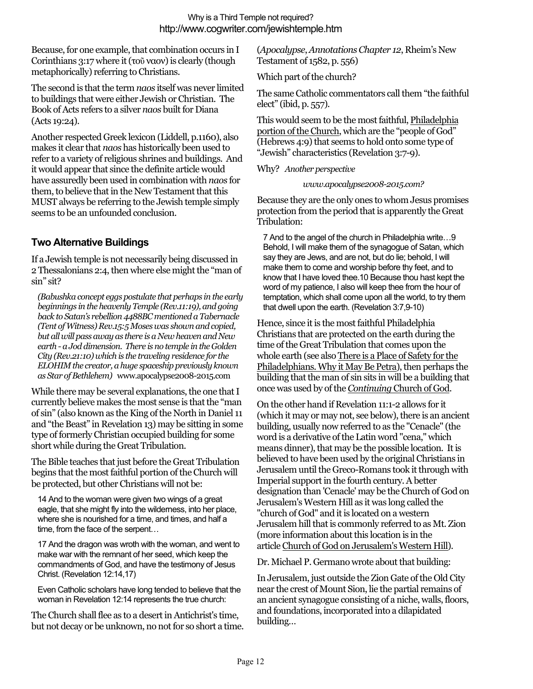Because, for one example, that combination occurs in I Corinthians 3:17 where it (τοῦ ναον) is clearly (though metaphorically) referring to Christians.

The second is that the term *naos* itself was never limited to buildings that were either Jewish or Christian. The Book of Acts refers to a silver *naos* built for Diana (Acts 19:24).

Another respected Greek lexicon (Liddell, p.1160), also makes it clear that *naos* has historically been used to refer to a variety of religious shrines and buildings. And it would appear that since the definite article would have assuredly been used in combination with *naos* for them, to believe that in the New Testament that this MUST always be referring to the Jewish temple simply seems to be an unfounded conclusion.

## **Two Alternative Buildings**

If a Jewish temple is not necessarily being discussed in 2 Thessalonians 2:4, then where else might the "man of sin" sit?

*(Babushka concept eggs postulate that perhaps in the early beginnings in the heavenlyTemple (Rev.11:19), and going back to Satan's rebellion 4488BC mentioned a Tabernacle (Tent of Witness) Rev.15:5 Moses was shown and copied, but all will pass away as there is a New heaven and New earth - a Jod dimension. There is no temple in the Golden City (Rev.21:10) which is the traveling residence for the ELOHIM the creator, a huge spaceship previously known as Star of Bethlehem)* www.apocalypse2008-2015.com

While there may be several explanations, the one that I currently believe makes the most sense is that the "man of sin" (also known as the King of the North in Daniel 11 and "the Beast" in Revelation 13) may be sitting in some type of formerly Christian occupied building for some short while during the Great Tribulation.

The Bible teaches that just before the Great Tribulation begins that the most faithful portion of the Church will be protected, but other Christians will not be:

14 And to the woman were given two wings of a great eagle, that she might fly into the wilderness, into her place, where she is nourished for a time, and times, and half a time, from the face of the serpent…

17 And the dragon was wroth with the woman, and went to make war with the remnant of her seed, which keep the commandments of God, and have the testimony of Jesus Christ. (Revelation 12:14,17)

Even Catholic scholars have long tended to believe that the woman in Revelation 12:14 represents the true church:

The Church shall flee as to a desert in Antichrist's time, but not decay or be unknown, no not for so short a time.

(*Apocalypse*,*Annotations Chapter 12*, Rheim's New Testament of 1582, p. 556)

Which part of the church?

The same Catholic commentators call them "the faithful elect" (ibid, p. 557).

This would seem to be the most faithful, Philadelphia portion of the Church, which are the "people of God" (Hebrews 4:9) that seems to hold onto some type of "Jewish" characteristics (Revelation 3:7-9).

### Why? *Another perspective*

### *www.apocalypse2008-2015.com?*

Because they are the only ones to whom Jesus promises protection from the period that is apparently the Great Tribulation:

7 And to the angel of the church in Philadelphia write…9 Behold, I will make them of the synagogue of Satan, which say they are Jews, and are not, but do lie; behold, I will make them to come and worship before thy feet, and to know that I have loved thee.10 Because thou hast kept the word of my patience, I also will keep thee from the hour of temptation, which shall come upon all the world, to try them that dwell upon the earth. (Revelation 3:7,9-10)

Hence, since it is the most faithful Philadelphia Christians that are protected on the earth during the time of the Great Tribulation that comes upon the whole earth (see also There is a Place of Safety for the Philadelphians. Why it May Be Petra), then perhaps the building that the man of sin sits in will be a building that once was used by of the *Continuing* Church of God.

On the other hand if Revelation 11:1-2 allows for it (which it may or may not, see below), there is an ancient building, usually now referred to as the "Cenacle" (the word is a derivative of the Latin word "cena," which means dinner), that may be the possible location. It is believed to have been used by the original Christians in Jerusalem until the Greco-Romans took it through with Imperial support in the fourth century. A better designation than 'Cenacle' may be the Church of God on Jerusalem's Western Hill as it was long called the "church of God" and it is located on a western Jerusalem hill that is commonly referred to as Mt. Zion (more information about this location is in the article Church of God on Jerusalem's Western Hill).

Dr. Michael P. Germano wrote about that building:

In Jerusalem, just outside the Zion Gate of the Old City near the crest of Mount Sion, lie the partial remains of an ancient synagogue consisting of a niche, walls, floors, and foundations, incorporated into a dilapidated building…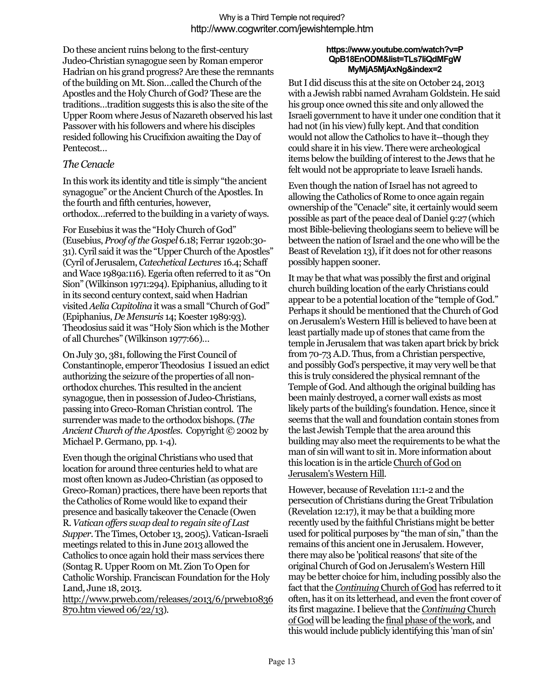Do these ancient ruins belong to the first-century Judeo-Christian synagogue seen by Roman emperor Hadrian on his grand progress? Are these the remnants of the building on Mt. Sion…called the Church of the Apostles and the Holy Church of God? These are the traditions…tradition suggests this is also the site of the Upper Room where Jesus of Nazareth observed his last Passover with his followers and where his disciples resided following his Crucifixion awaiting the Day of Pentecost…

### *The Cenacle*

In this work its identity and title is simply "the ancient synagogue" or the Ancient Church of the Apostles. In the fourth and fifth centuries, however, orthodox…referred to the building in a variety of ways.

For Eusebius it was the "Holy Church of God" (Eusebius, *Proof of the Gospel* 6.18; Ferrar 1920b:30- 31). Cyril said it was the "Upper Church of the Apostles" (Cyril of Jerusalem,*Catechetical Lectures* 16.4; Schaff and Wace 1989a:116). Egeria often referred to it as "On Sion" (Wilkinson 1971:294). Epiphanius, alluding to it in its second century context, said when Hadrian visited*Aelia Capitolina* it was a small "Church of God" (Epiphanius, *De Mensuris* 14; Koester 1989:93). Theodosius said it was "Holy Sion which is the Mother of all Churches" (Wilkinson 1977:66)…

On July 30, 381, following the First Council of Constantinople, emperor Theodosius I issued an edict authorizing the seizure of the properties of all nonorthodox churches. This resulted in the ancient synagogue, then in possession of Judeo-Christians, passing into Greco-Roman Christian control. The surrender was made to the orthodox bishops. (*The AncientChurch of the Apostles*. Copyright © 2002 by Michael P. Germano, pp. 1-4).

Even though the original Christians who used that location for around three centuries held to what are most often known as Judeo-Christian (as opposed to Greco-Roman) practices, there have been reports that the Catholics of Rome would like to expand their presence and basically takeover the Cenacle (Owen R.*Vatican offers swap deal to regain site of Last Supper.* The Times, October 13, 2005). Vatican-Israeli meetings related to this in June 2013 allowed the Catholics to once again hold their mass services there (Sontag R. Upper Room on Mt. Zion To Open for Catholic Worship. Franciscan Foundation for the Holy Land, June 18, 2013.

http://www.prweb.com/releases/2013/6/prweb10836 870.htm viewed 06/22/13).

#### **https://www.youtube.com/watch?v=P QpB18EnODM&list=TLs7IiQdMFgW MyMjA5MjAxNg&index=2**

But I did discuss this at the site on October 24, 2013 with a Jewish rabbi named Avraham Goldstein. He said his group once owned this site and only allowed the Israeli government to have it under one condition that it had not (in his view) fully kept. And that condition would not allow the Catholics to have it--though they could share it in his view. There were archeological items below the building of interest to the Jews that he felt would not be appropriate to leave Israeli hands.

Even though the nation of Israel has not agreed to allowing the Catholics of Rome to once again regain ownership of the "Cenacle" site, it certainly would seem possible as part of the peace deal of Daniel 9:27 (which most Bible-believing theologians seem to believe will be between the nation of Israel and the one who will be the Beast of Revelation 13), if it does not for other reasons possibly happen sooner.

It may be that what was possibly the first and original church building location of the early Christians could appear to be a potential location of the "temple of God." Perhaps it should be mentioned that the Church of God on Jerusalem's Western Hill is believed to have been at least partially made up of stones that came from the temple in Jerusalem that was taken apart brick by brick from 70-73 A.D. Thus, from a Christian perspective, and possibly God's perspective, it may very well be that this is truly considered the physical remnant of the Temple of God. And although the original building has been mainly destroyed, a corner wall exists as most likely parts of the building's foundation. Hence, since it seems that the wall and foundation contain stones from the last Jewish Temple that the area around this building may also meet the requirements to be what the man of sin will want to sit in. More information about this location is in the article Church of God on Jerusalem's Western Hill.

However, because of Revelation 11:1-2 and the persecution of Christians during the Great Tribulation (Revelation 12:17), it may be that a building more recently used by the faithful Christians might be better used for political purposes by "the man of sin," than the remains of this ancient one in Jerusalem. However, there may also be 'political reasons' that site of the original Church of God on Jerusalem's Western Hill may be better choice for him, including possibly also the fact that the *Continuing* Church of God has referred to it often, has it on its letterhead, and even the front cover of its first magazine. I believe that the *Continuing* Church of God will be leading the final phase of the work, and this would include publicly identifying this 'man of sin'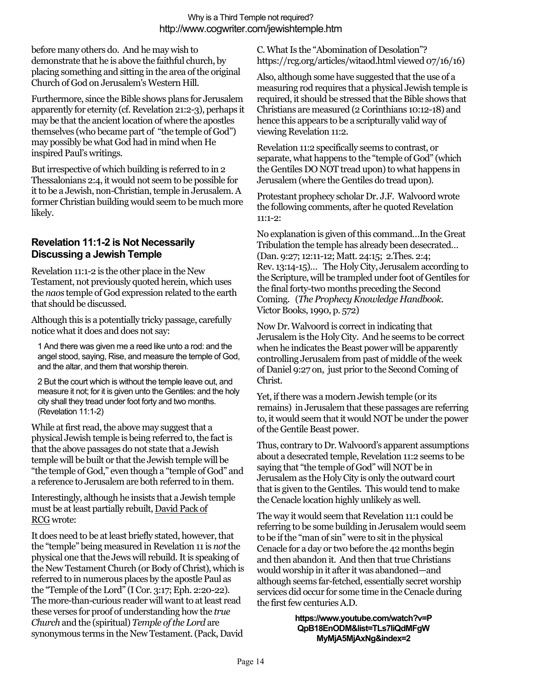before many others do. And he may wish to demonstrate that he is above the faithful church, by placing something and sitting in the area of the original Church of God on Jerusalem's Western Hill.

Furthermore, since the Bible shows plans for Jerusalem apparently for eternity (cf. Revelation 21:2-3), perhaps it may be that the ancient location of where the apostles themselves (who became part of "the temple of God") may possibly be what God had in mind when He inspired Paul's writings.

But irrespective of which building is referred to in 2 Thessalonians 2:4, it would not seem to be possible for it to be a Jewish, non-Christian, temple in Jerusalem.A former Christian building would seem to be much more likely.

## **Revelation 11:1-2 is Not Necessarily Discussing a Jewish Temple**

Revelation 11:1-2 is the other place in the New Testament, not previously quoted herein, which uses the *naos* temple of God expression related to the earth that should be discussed.

Although this is a potentially tricky passage, carefully notice what it does and does not say:

1 And there was given me a reed like unto a rod: and the angel stood, saying, Rise, and measure the temple of God, and the altar, and them that worship therein.

2 But the court which is without the temple leave out, and measure it not; for it is given unto the Gentiles: and the holy city shall they tread under foot forty and two months. (Revelation 11:1-2)

While at first read, the above may suggest that a physical Jewish temple is being referred to, the fact is that the above passages do not state that a Jewish temple will be built or that the Jewish temple will be "the temple of God," even though a "temple of God" and a reference to Jerusalem are both referred to in them.

Interestingly, although he insists that a Jewish temple must be at least partially rebuilt, David Pack of RCG wrote:

It does need to be at least briefly stated, however, that the "temple" being measured in Revelation 11 is *not*the physical one that the Jews will rebuild. It is speaking of the New Testament Church (or Body of Christ), which is referred to in numerous places by the apostle Paul as the "Temple of the Lord" (I Cor. 3:17; Eph. 2:20-22). The more-than-curious reader will want to at least read these verses for proof of understanding how the *true Church* and the (spiritual) *Temple of the Lord* are synonymous terms in the New Testament.(Pack, David C. What Is the "Abomination of Desolation"? https://rcg.org/articles/witaod.html viewed 07/16/16)

Also, although some have suggested that the use of a measuring rod requires that a physical Jewish temple is required, it should be stressed that the Bible shows that Christians are measured (2 Corinthians 10:12-18) and hence this appears to be a scripturally valid way of viewing Revelation 11:2.

Revelation 11:2 specifically seems to contrast, or separate, what happens to the "temple of God" (which the Gentiles DO NOT tread upon) to what happens in Jerusalem (where the Gentiles do tread upon).

Protestant prophecy scholar Dr. J.F. Walvoord wrote the following comments, after he quoted Revelation 11:1-2:

No explanation is given of this command…In the Great Tribulation the temple has already been desecrated… (Dan. 9:27; 12:11-12; Matt. 24:15; 2.Thes. 2:4; Rev. 13:14-15)… The Holy City, Jerusalem according to the Scripture, will be trampled under foot of Gentiles for the final forty-two months preceding the Second Coming. (*The Prophecy Knowledge Handbook*. Victor Books, 1990, p. 572)

Now Dr. Walvoord is correct in indicating that Jerusalem is the Holy City. And he seems to be correct when he indicates the Beast power will be apparently controlling Jerusalem from past of middle of the week of Daniel 9:27 on, just prior to the Second Coming of Christ.

Yet, if there was a modern Jewish temple (or its remains) in Jerusalem that these passages are referring to, it would seem that it would NOT be under the power of the Gentile Beast power.

Thus, contrary to Dr. Walvoord's apparent assumptions about a desecrated temple, Revelation 11:2 seems to be saying that "the temple of God" will NOT be in Jerusalem as the Holy City is only the outward court that is given to the Gentiles. This would tend to make the Cenacle location highly unlikely as well.

The way it would seem that Revelation 11:1 could be referring to be some building in Jerusalem would seem to be if the "man of sin" were to sit in the physical Cenacle for a day or two before the 42 months begin and then abandon it. And then that true Christians would worship in it after it was abandoned—and although seems far-fetched, essentially secret worship services did occur for some time in the Cenacle during the first few centuries A.D.

> **https://www.youtube.com/watch?v=P QpB18EnODM&list=TLs7IiQdMFgW MyMjA5MjAxNg&index=2**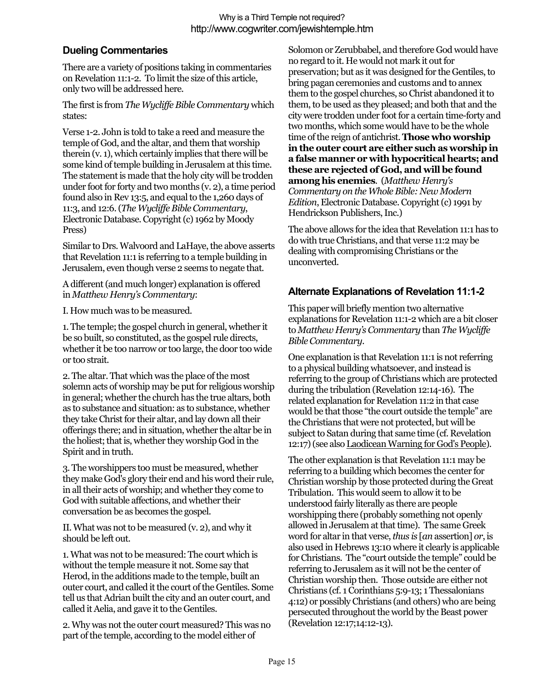## **Dueling Commentaries**

There are a variety of positions taking in commentaries on Revelation 11:1-2. To limit the size of this article, only two will be addressed here.

The first is from *The Wycliffe Bible Commentary* which states:

Verse 1-2. John is told to take a reed and measure the temple of God, and the altar, and them that worship therein (v. 1), which certainly implies that there will be some kind of temple building in Jerusalem at this time. The statement is made that the holy city will be trodden under foot for forty and two months (v. 2), a time period found also in Rev 13:5, and equal to the 1,260 days of 11:3, and 12:6. (*The Wycliffe Bible Commentary*, Electronic Database. Copyright (c) 1962 by Moody Press)

Similar to Drs. Walvoord and LaHaye, the above asserts that Revelation 11:1 is referring to a temple building in Jerusalem, even though verse 2 seems to negate that.

A different (and much longer) explanation is offered in *Matthew Henry's Commentary*:

I. How much was to be measured.

1. The temple; the gospel church in general, whether it be so built, so constituted, as the gospel rule directs, whether it be too narrow or too large, the door too wide or too strait.

2. The altar. That which was the place of the most solemn acts of worship may be put for religious worship in general; whether the church has the true altars, both as to substance and situation: as to substance, whether they take Christ for their altar, and lay down all their offerings there; and in situation, whether the altar be in the holiest; that is, whether they worship God in the Spirit and in truth.

3. The worshippers too must be measured, whether they make God's glory their end and his word their rule, in all their acts of worship; and whether they come to God with suitable affections, and whether their conversation be as becomes the gospel.

II. What was not to be measured (v. 2), and why it should be left out.

1. What was not to be measured: The court which is without the temple measure it not. Some say that Herod, in the additions made to the temple, built an outer court, and called it the court of the Gentiles. Some tell us that Adrian built the city and an outer court, and called it Aelia, and gave it to the Gentiles.

2. Why was not the outer court measured? This was no part of the temple, according to the model either of

Solomon or Zerubbabel, and therefore God would have no regard to it. He would not mark it out for preservation; but as it was designed for the Gentiles, to bring pagan ceremonies and customs and to annex them to the gospel churches, so Christ abandoned it to them, to be used as they pleased; and both that and the city were trodden under foot for a certain time-forty and two months, which some would have to be the whole time of the reign of antichrist.**Those who worship in the outer court are either such as worship in a false manner or with hypocritical hearts; and these are rejected of God, and will be found among his enemies**. (*Matthew Henry's Commentary on the Whole Bible: New Modern Edition*, Electronic Database. Copyright (c) 1991 by Hendrickson Publishers, Inc.)

The above allows for the idea that Revelation 11:1 has to do with true Christians, and that verse 11:2 may be dealing with compromising Christians or the unconverted.

# **Alternate Explanations of Revelation 11:1-2**

This paper will briefly mention two alternative explanations for Revelation 11:1-2 which are a bit closer to *Matthew Henry's Commentary* than *The Wycliffe Bible Commentary*.

One explanation is that Revelation 11:1 is not referring to a physical building whatsoever, and instead is referring to the group of Christians which are protected during the tribulation (Revelation 12:14-16). The related explanation for Revelation 11:2 in that case would be that those "the court outside the temple" are the Christians that were not protected, but will be subject to Satan during that same time (cf. Revelation 12:17) (see also Laodicean Warning for God's People).

The other explanation is that Revelation 11:1 may be referring to a building which becomes the center for Christian worship by those protected during the Great Tribulation. This would seem to allow it to be understood fairly literally as there are people worshipping there (probably something not openly allowed in Jerusalem at that time). The same Greek word for altar in that verse,*thus is* [*an* assertion] *or*, is also used in Hebrews 13:10 where it clearly is applicable forChristians. The "court outside the temple" could be referring to Jerusalem as it will not be the center of Christian worship then. Those outside are either not Christians (cf. 1 Corinthians 5:9-13; 1 Thessalonians 4:12) or possibly Christians (and others) who are being persecuted throughout the world by the Beast power (Revelation 12:17;14:12-13).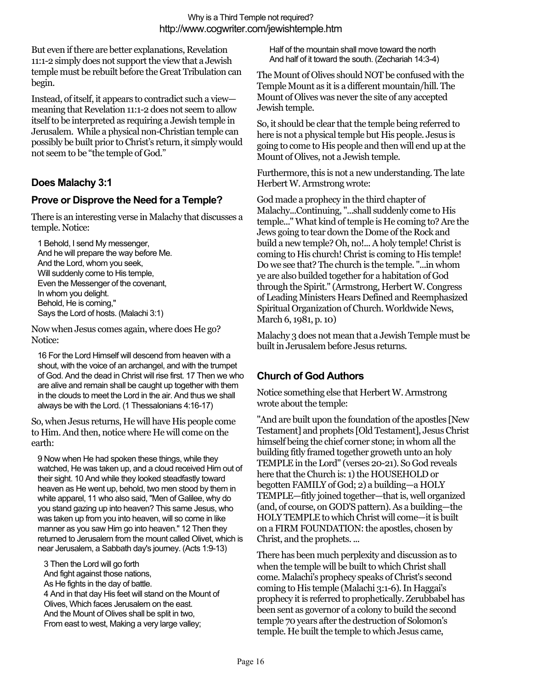But even if there are better explanations, Revelation 11:1-2 simply does not support the view that a Jewish temple must be rebuilt before the Great Tribulation can begin.

Instead, of itself, it appears to contradict such a view meaning that Revelation 11:1-2 does not seem to allow itself to be interpreted as requiring a Jewish temple in Jerusalem. While a physical non-Christian temple can possibly be built prior to Christ's return, it simply would not seem to be "the temple of God."

## **Does Malachy 3:1**

### **Prove or Disprove the Need for a Temple?**

There is an interesting verse in Malachy that discusses a temple. Notice:

1 Behold, I send My messenger, And he will prepare the way before Me. And the Lord, whom you seek, Will suddenly come to His temple, Even the Messenger of the covenant, In whom you delight. Behold, He is coming," Says the Lord of hosts. (Malachi 3:1)

Now when Jesus comes again, where does He go? Notice:

16 For the Lord Himself will descend from heaven with a shout, with the voice of an archangel, and with the trumpet of God. And the dead in Christ will rise first. 17 Then we who are alive and remain shall be caught up together with them in the clouds to meet the Lord in the air. And thus we shall always be with the Lord. (1 Thessalonians 4:16-17)

So, when Jesus returns, He will have His people come to Him. And then, notice where He will come on the earth:

9 Now when He had spoken these things, while they watched, He was taken up, and a cloud received Him out of their sight. 10 And while they looked steadfastly toward heaven as He went up, behold, two men stood by them in white apparel, 11 who also said, "Men of Galilee, why do you stand gazing up into heaven? This same Jesus, who was taken up from you into heaven, will so come in like manner as you saw Him go into heaven." 12 Then they returned to Jerusalem from the mount called Olivet, which is near Jerusalem, a Sabbath day's journey. (Acts 1:9-13)

3 Then the Lord will go forth And fight against those nations, As He fights in the day of battle. 4 And in that day His feet will stand on the Mount of Olives, Which faces Jerusalem on the east. And the Mount of Olives shall be split in two, From east to west, Making a very large valley;

Half of the mountain shall move toward the north And half of it toward the south. (Zechariah 14:3-4)

The Mount of Olives should NOT be confused with the Temple Mount as it is a different mountain/hill. The Mount of Olives was never the site of any accepted Jewish temple.

So, it should be clear that the temple being referred to here is not a physical temple but His people. Jesus is going to come to His people and then will end up at the Mount of Olives, not a Jewish temple.

Furthermore, this is not a new understanding. The late Herbert W. Armstrong wrote:

God made a prophecy in the third chapter of Malachy...Continuing, "...shall suddenly come to His temple..." What kind of temple is He coming to? Are the Jews going to tear down the Dome of the Rock and build a new temple? Oh, no!... A holy temple! Christ is coming to His church! Christ is coming to His temple! Do we see that? The church is the temple. "...in whom ye are also builded together for a habitation of God through the Spirit." (Armstrong, Herbert W. Congress of Leading Ministers Hears Defined and Reemphasized Spiritual Organization of Church. Worldwide News, March 6, 1981, p. 10)

Malachy 3 does not mean that a Jewish Temple must be built in Jerusalem before Jesus returns.

### **Church of God Authors**

Notice something else that Herbert W. Armstrong wrote about the temple:

"And are built upon the foundation of the apostles [New Testament] and prophets [Old Testament], Jesus Christ himself being the chief corner stone; in whom all the building fitly framed together groweth unto an holy TEMPLE in the Lord" (verses 20-21). So God reveals here that the Church is: 1) the HOUSEHOLD or begotten FAMILY of God; 2) a building—a HOLY TEMPLE—fitly joined together—that is, well organized (and, of course, on GOD'S pattern). As a building—the HOLY TEMPLE to which Christ will come—it is built on a FIRM FOUNDATION: the apostles, chosen by Christ, and the prophets. ...

There has been much perplexity and discussion as to when the temple will be built to which Christ shall come. Malachi's prophecy speaks of Christ's second coming to His temple (Malachi 3:1-6). In Haggai's prophecy it is referred to prophetically. Zerubbabel has been sent as governor of a colony to build the second temple 70 years after the destruction of Solomon's temple. He built the temple to which Jesus came,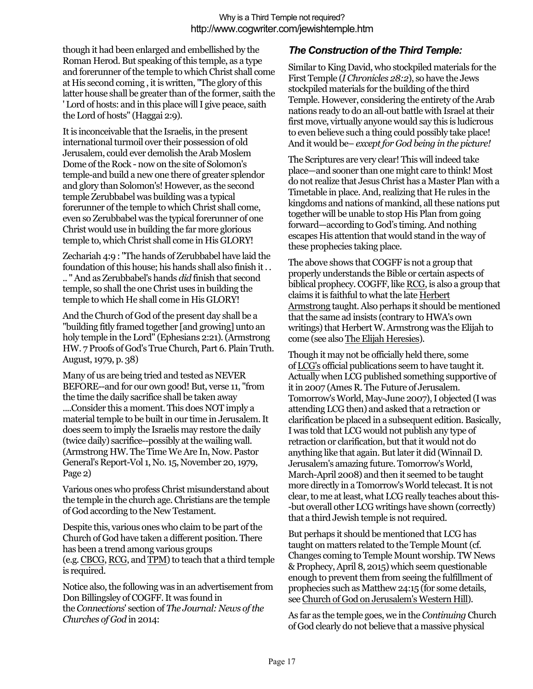though it had been enlarged and embellished by the Roman Herod. But speaking of this temple, as a type and forerunner of the temple to which Christ shall come at His second coming , it is written, "The glory of this latter house shall be greater than of the former, saith the ' Lord of hosts: and in this place will I give peace, saith the Lord of hosts" (Haggai 2:9).

It is inconceivable that the Israelis, in the present international turmoil over their possession of old Jerusalem, could ever demolish the Arab Moslem Dome of the Rock - now on the site of Solomon's temple-and build a new one there of greater splendor and glory than Solomon's! However, as the second temple Zerubbabel was building was a typical forerunner of the temple to which Christ shall come, even so Zerubbabel was the typical forerunner of one Christ would use in building the far more glorious temple to, which Christ shall come in His GLORY!

Zechariah 4:9 : "The hands of Zerubbabel have laid the foundation of this house; his hands shall also finish it . . .. " And as Zerubbabel's hands *did* finish that second temple, so shall the one Christ uses in building the temple to which He shall come in His GLORY!

And the Church of God of the present day shall be a "building fitly framed together [and growing] unto an holy temple in the Lord" (Ephesians 2:21). (Armstrong HW. 7 Proofs of God's True Church, Part 6. Plain Truth. August, 1979, p. 38)

Many of us are being tried and tested as NEVER BEFORE--and for our own good! But, verse 11, "from the time the daily sacrifice shall be taken away ....Consider this a moment. This does NOT imply a material temple to be built in our time in Jerusalem. It does seem to imply the Israelis may restore the daily (twice daily) sacrifice--possibly at the wailing wall. (Armstrong HW. The Time We Are In, Now. Pastor General's Report-Vol 1, No. 15, November 20, 1979, Page 2)

Various ones who profess Christ misunderstand about the temple in the church age. Christians are the temple of God according to the New Testament.

Despite this, various ones who claim to be part of the Church of God have taken a different position. There has been a trend among various groups (e.g.CBCG, RCG, and TPM) to teach that a third temple is required.

Notice also, the following was in an advertisement from Don Billingsley of COGFF. It was found in the *Connections*' section of *The Journal: News of the Churches of God* in 2014:

### *The Construction of the Third Temple:*

Similar to King David, who stockpiled materials for the First Temple (*I Chronicles 28:2*), so have the Jews stockpiled materials for the building of the third Temple. However, considering the entirety of the Arab nations ready to do an all-out battle with Israel at their first move, virtually anyone would say this is ludicrous to even believe such a thing could possibly take place! And it would be– *except for God being in the picture!*

The Scriptures are very clear! This will indeed take place—and sooner than one might care to think! Most do not realize that Jesus Christ has a Master Plan with a Timetable in place. And, realizing that He rules in the kingdoms and nations of mankind, all these nations put together will be unable to stop His Plan from going forward—according to God's timing. And nothing escapes His attention that would stand in the way of these prophecies taking place.

The above shows that COGFF is not a group that properly understands the Bible or certain aspects of biblical prophecy. COGFF, like RCG, is also a group that claims it is faithful to what the late Herbert Armstrong taught. Also perhaps it should be mentioned that the same ad insists (contrary to HWA's own writings) that Herbert W. Armstrong was the Elijah to come (see also The Elijah Heresies).

Though it may not be officially held there, some of LCG's official publications seem to have taught it. Actually when LCG published something supportive of it in 2007 (Ames R. The Future of Jerusalem. Tomorrow's World, May-June 2007), I objected (I was attending LCG then) and asked that a retraction or clarification be placed in a subsequent edition. Basically, I was told that LCG would not publish any type of retraction or clarification, but that it would not do anything like that again. But later it did (Winnail D. Jerusalem's amazing future. Tomorrow's World, March-April 2008) and then it seemed to be taught more directly in a Tomorrow's World telecast.It is not clear, to me at least, what LCG really teaches about this- -but overall other LCG writings have shown (correctly) that a third Jewish temple is not required.

But perhaps it should be mentioned that LCG has taught on matters related to the Temple Mount (cf. Changes coming to Temple Mount worship. TW News & Prophecy, April 8, 2015) which seem questionable enough to prevent them from seeing the fulfillment of prophecies such as Matthew 24:15 (for some details, see Church of God on Jerusalem's Western Hill).

As far as the temple goes, we in the *Continuing* Church of God clearly do not believe that a massive physical